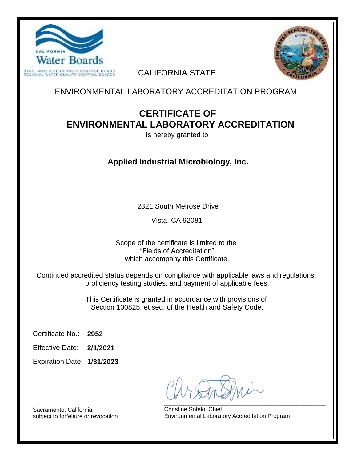



CALIFORNIA STATE

ENVIRONMENTAL LABORATORY ACCREDITATION PROGRAM

## **CERTIFICATE OF ENVIRONMENTAL LABORATORY ACCREDITATION**

Is hereby granted to

**Applied Industrial Microbiology, Inc.**

2321 South Melrose Drive

Vista, CA 92081

Scope of the certificate is limited to the "Fields of Accreditation" which accompany this Certificate.

Continued accredited status depends on compliance with applicable laws and regulations, proficiency testing studies, and payment of applicable fees.

> This Certificate is granted in accordance with provisions of Section 100825, et seq. of the Health and Safety Code.

**2952** Certificate No.:

**2/1/2021** Effective Date:

**1/31/2023** Expiration Date:

\_\_\_\_\_\_\_\_\_\_\_\_\_\_\_\_\_\_\_\_\_\_\_\_\_\_\_\_\_\_\_\_\_\_\_\_\_\_\_\_\_\_\_\_\_\_\_\_\_\_

Christine Sotelo, Chief Environmental Laboratory Accreditation Program

Sacramento, California subject to forfeiture or revocation